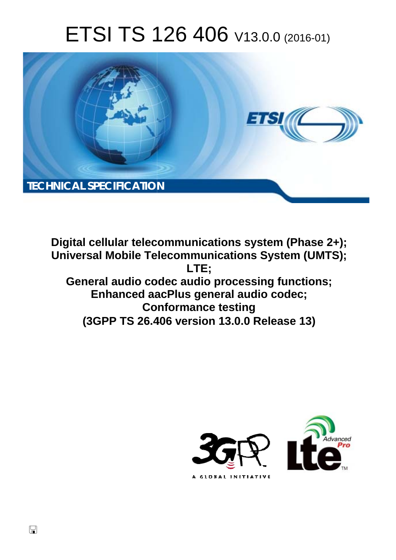# ETSI TS 126 406 V13.0.0 (2016-01)



**Digital cellular telecommunications system (Phase 2+); Universal Mobile Tel elecommunications System ( (UMTS); General audio codec audio processing functions; Enhanced aa aacPlus general audio codec; Con onformance testing Enhanced aacPlus general audio codec;<br>Conformance testing<br>(3GPP TS 26.406 version 13.0.0 Release 13) LTE;** 



 $\Box$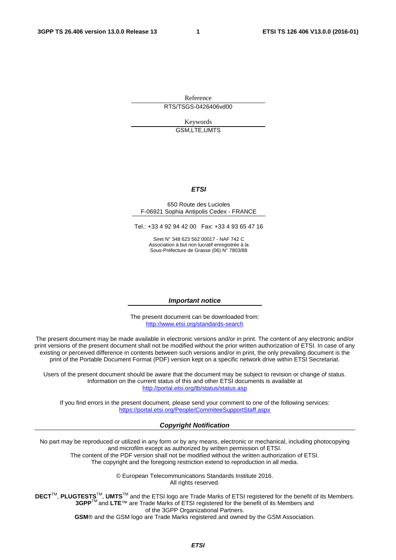Reference RTS/TSGS-0426406vd00

> Keywords GSM,LTE,UMTS

#### *ETSI*

#### 650 Route des Lucioles F-06921 Sophia Antipolis Cedex - FRANCE

Tel.: +33 4 92 94 42 00 Fax: +33 4 93 65 47 16

Siret N° 348 623 562 00017 - NAF 742 C Association à but non lucratif enregistrée à la Sous-Préfecture de Grasse (06) N° 7803/88

#### *Important notice*

The present document can be downloaded from: <http://www.etsi.org/standards-search>

The present document may be made available in electronic versions and/or in print. The content of any electronic and/or print versions of the present document shall not be modified without the prior written authorization of ETSI. In case of any existing or perceived difference in contents between such versions and/or in print, the only prevailing document is the print of the Portable Document Format (PDF) version kept on a specific network drive within ETSI Secretariat.

Users of the present document should be aware that the document may be subject to revision or change of status. Information on the current status of this and other ETSI documents is available at <http://portal.etsi.org/tb/status/status.asp>

If you find errors in the present document, please send your comment to one of the following services: <https://portal.etsi.org/People/CommiteeSupportStaff.aspx>

#### *Copyright Notification*

No part may be reproduced or utilized in any form or by any means, electronic or mechanical, including photocopying and microfilm except as authorized by written permission of ETSI.

The content of the PDF version shall not be modified without the written authorization of ETSI. The copyright and the foregoing restriction extend to reproduction in all media.

> © European Telecommunications Standards Institute 2016. All rights reserved.

**DECT**TM, **PLUGTESTS**TM, **UMTS**TM and the ETSI logo are Trade Marks of ETSI registered for the benefit of its Members. **3GPP**TM and **LTE**™ are Trade Marks of ETSI registered for the benefit of its Members and of the 3GPP Organizational Partners.

**GSM**® and the GSM logo are Trade Marks registered and owned by the GSM Association.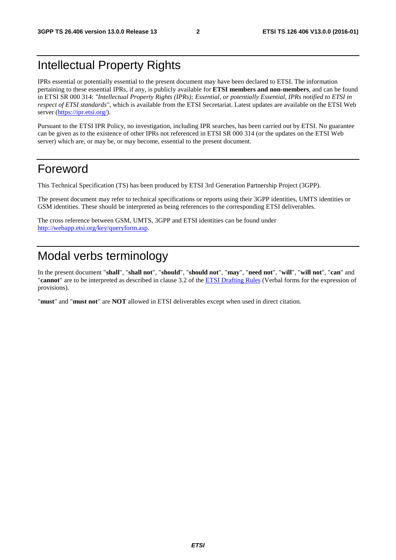## Intellectual Property Rights

IPRs essential or potentially essential to the present document may have been declared to ETSI. The information pertaining to these essential IPRs, if any, is publicly available for **ETSI members and non-members**, and can be found in ETSI SR 000 314: *"Intellectual Property Rights (IPRs); Essential, or potentially Essential, IPRs notified to ETSI in respect of ETSI standards"*, which is available from the ETSI Secretariat. Latest updates are available on the ETSI Web server [\(https://ipr.etsi.org/](https://ipr.etsi.org/)).

Pursuant to the ETSI IPR Policy, no investigation, including IPR searches, has been carried out by ETSI. No guarantee can be given as to the existence of other IPRs not referenced in ETSI SR 000 314 (or the updates on the ETSI Web server) which are, or may be, or may become, essential to the present document.

### Foreword

This Technical Specification (TS) has been produced by ETSI 3rd Generation Partnership Project (3GPP).

The present document may refer to technical specifications or reports using their 3GPP identities, UMTS identities or GSM identities. These should be interpreted as being references to the corresponding ETSI deliverables.

The cross reference between GSM, UMTS, 3GPP and ETSI identities can be found under <http://webapp.etsi.org/key/queryform.asp>.

# Modal verbs terminology

In the present document "**shall**", "**shall not**", "**should**", "**should not**", "**may**", "**need not**", "**will**", "**will not**", "**can**" and "**cannot**" are to be interpreted as described in clause 3.2 of the [ETSI Drafting Rules](http://portal.etsi.org/Help/editHelp!/Howtostart/ETSIDraftingRules.aspx) (Verbal forms for the expression of provisions).

"**must**" and "**must not**" are **NOT** allowed in ETSI deliverables except when used in direct citation.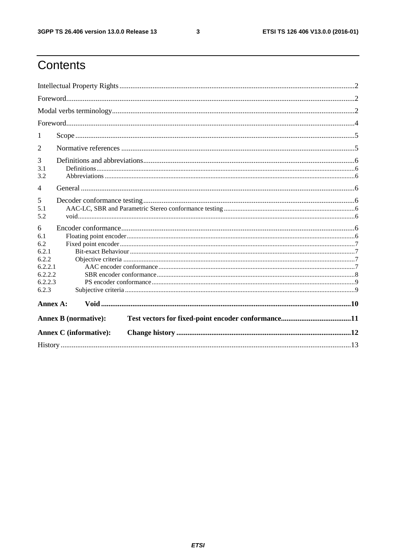$\mathbf{3}$ 

# Contents

| 1                                                                           |                               |  |  |  |  |  |
|-----------------------------------------------------------------------------|-------------------------------|--|--|--|--|--|
| 2                                                                           |                               |  |  |  |  |  |
| 3<br>3.1<br>3.2                                                             |                               |  |  |  |  |  |
| $\overline{4}$                                                              |                               |  |  |  |  |  |
| 5<br>5.1<br>5.2                                                             |                               |  |  |  |  |  |
| 6<br>6.1<br>6.2<br>6.2.1<br>6.2.2<br>6.2.2.1<br>6.2.2.2<br>6.2.2.3<br>6.2.3 |                               |  |  |  |  |  |
|                                                                             | Annex A:                      |  |  |  |  |  |
|                                                                             | <b>Annex B</b> (normative):   |  |  |  |  |  |
|                                                                             | <b>Annex C</b> (informative): |  |  |  |  |  |
|                                                                             |                               |  |  |  |  |  |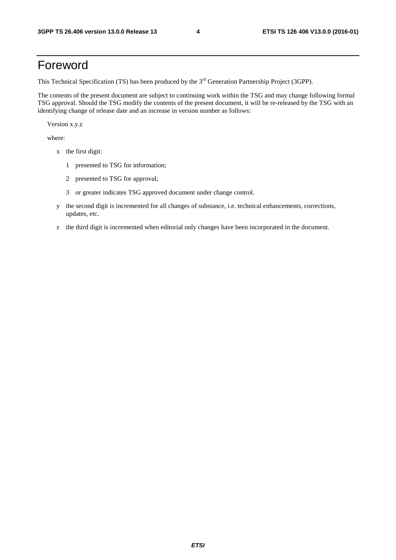### Foreword

This Technical Specification (TS) has been produced by the 3<sup>rd</sup> Generation Partnership Project (3GPP).

The contents of the present document are subject to continuing work within the TSG and may change following formal TSG approval. Should the TSG modify the contents of the present document, it will be re-released by the TSG with an identifying change of release date and an increase in version number as follows:

Version x.y.z

where:

- x the first digit:
	- 1 presented to TSG for information;
	- 2 presented to TSG for approval;
	- 3 or greater indicates TSG approved document under change control.
- y the second digit is incremented for all changes of substance, i.e. technical enhancements, corrections, updates, etc.
- z the third digit is incremented when editorial only changes have been incorporated in the document.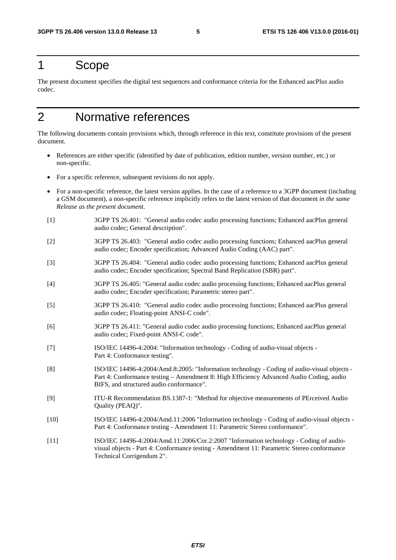### 1 Scope

The present document specifies the digital test sequences and conformance criteria for the Enhanced aacPlus audio codec.

# 2 Normative references

The following documents contain provisions which, through reference in this text, constitute provisions of the present document.

- References are either specific (identified by date of publication, edition number, version number, etc.) or non-specific.
- For a specific reference, subsequent revisions do not apply.
- For a non-specific reference, the latest version applies. In the case of a reference to a 3GPP document (including a GSM document), a non-specific reference implicitly refers to the latest version of that document *in the same Release as the present document*.
- [1] 3GPP TS 26.401: "General audio codec audio processing functions; Enhanced aacPlus general audio codec; General description".
- [2] 3GPP TS 26.403: "General audio codec audio processing functions; Enhanced aacPlus general audio codec; Encoder specification; Advanced Audio Coding (AAC) part".
- [3] 3GPP TS 26.404: "General audio codec audio processing functions; Enhanced aacPlus general audio codec; Encoder specification; Spectral Band Replication (SBR) part".
- [4] 3GPP TS 26.405: "General audio codec audio processing functions; Enhanced aacPlus general audio codec; Encoder specification; Parametric stereo part".
- [5] 3GPP TS 26.410: "General audio codec audio processing functions; Enhanced aacPlus general audio codec; Floating-point ANSI-C code".
- [6] 3GPP TS 26.411: "General audio codec audio processing functions; Enhanced aacPlus general audio codec; Fixed-point ANSI-C code".
- [7] ISO/IEC 14496-4:2004: "Information technology Coding of audio-visual objects Part 4: Conformance testing".
- [8] ISO/IEC 14496-4:2004/Amd.8:2005: "Information technology Coding of audio-visual objects Part 4: Conformance testing – Amendment 8: High Efficiency Advanced Audio Coding, audio BIFS, and structured audio conformance".
- [9] ITU-R Recommendation BS.1387-1: "Method for objective measurements of PErceived Audio Quality (PEAQ)".
- [10] ISO/IEC 14496-4:2004/Amd.11:2006 "Information technology Coding of audio-visual objects Part 4: Conformance testing - Amendment 11: Parametric Stereo conformance".
- [11] ISO/IEC 14496-4:2004/Amd.11:2006/Cor.2:2007 "Information technology Coding of audiovisual objects - Part 4: Conformance testing - Amendment 11: Parametric Stereo conformance Technical Corrigendum 2".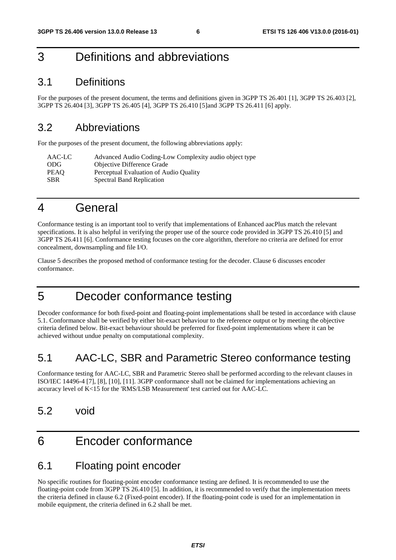### 3 Definitions and abbreviations

### 3.1 Definitions

For the purposes of the present document, the terms and definitions given in 3GPP TS 26.401 [1], 3GPP TS 26.403 [2], 3GPP TS 26.404 [3], 3GPP TS 26.405 [4], 3GPP TS 26.410 [5]and 3GPP TS 26.411 [6] apply.

### 3.2 Abbreviations

For the purposes of the present document, the following abbreviations apply:

| AAC-LC     | Advanced Audio Coding-Low Complexity audio object type |
|------------|--------------------------------------------------------|
| -ODG       | <b>Objective Difference Grade</b>                      |
| PEAO       | Perceptual Evaluation of Audio Quality                 |
| <b>SBR</b> | <b>Spectral Band Replication</b>                       |

### 4 General

Conformance testing is an important tool to verify that implementations of Enhanced aacPlus match the relevant specifications. It is also helpful in verifying the proper use of the source code provided in 3GPP TS 26.410 [5] and 3GPP TS 26.411 [6]. Conformance testing focuses on the core algorithm, therefore no criteria are defined for error concealment, downsampling and file I/O.

Clause 5 describes the proposed method of conformance testing for the decoder. Clause 6 discusses encoder conformance.

## 5 Decoder conformance testing

Decoder conformance for both fixed-point and floating-point implementations shall be tested in accordance with clause 5.1. Conformance shall be verified by either bit-exact behaviour to the reference output or by meeting the objective criteria defined below. Bit-exact behaviour should be preferred for fixed-point implementations where it can be achieved without undue penalty on computational complexity.

### 5.1 AAC-LC, SBR and Parametric Stereo conformance testing

Conformance testing for AAC-LC, SBR and Parametric Stereo shall be performed according to the relevant clauses in ISO/IEC 14496-4 [7], [8], [10], [11]. 3GPP conformance shall not be claimed for implementations achieving an accuracy level of K<15 for the 'RMS/LSB Measurement' test carried out for AAC-LC.

### 5.2 void

# 6 Encoder conformance

### 6.1 Floating point encoder

No specific routines for floating-point encoder conformance testing are defined. It is recommended to use the floating-point code from 3GPP TS 26.410 [5]. In addition, it is recommended to verify that the implementation meets the criteria defined in clause 6.2 (Fixed-point encoder). If the floating-point code is used for an implementation in mobile equipment, the criteria defined in 6.2 shall be met.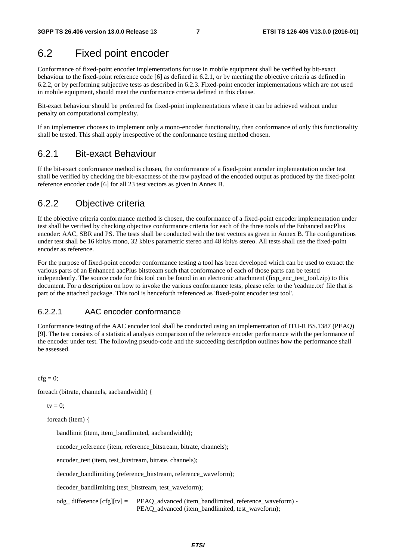### 6.2 Fixed point encoder

Conformance of fixed-point encoder implementations for use in mobile equipment shall be verified by bit-exact behaviour to the fixed-point reference code [6] as defined in 6.2.1, or by meeting the objective criteria as defined in 6.2.2, or by performing subjective tests as described in 6.2.3. Fixed-point encoder implementations which are not used in mobile equipment, should meet the conformance criteria defined in this clause.

Bit-exact behaviour should be preferred for fixed-point implementations where it can be achieved without undue penalty on computational complexity.

If an implementer chooses to implement only a mono-encoder functionality, then conformance of only this functionality shall be tested. This shall apply irrespective of the conformance testing method chosen.

### 6.2.1 Bit-exact Behaviour

If the bit-exact conformance method is chosen, the conformance of a fixed-point encoder implementation under test shall be verified by checking the bit-exactness of the raw payload of the encoded output as produced by the fixed-point reference encoder code [6] for all 23 test vectors as given in Annex B.

### 6.2.2 Objective criteria

If the objective criteria conformance method is chosen, the conformance of a fixed-point encoder implementation under test shall be verified by checking objective conformance criteria for each of the three tools of the Enhanced aacPlus encoder: AAC, SBR and PS. The tests shall be conducted with the test vectors as given in Annex B. The configurations under test shall be 16 kbit/s mono, 32 kbit/s parametric stereo and 48 kbit/s stereo. All tests shall use the fixed-point encoder as reference.

For the purpose of fixed-point encoder conformance testing a tool has been developed which can be used to extract the various parts of an Enhanced aacPlus bitstream such that conformance of each of those parts can be tested independently. The source code for this tool can be found in an electronic attachment (fixp\_enc\_test\_tool.zip) to this document. For a description on how to invoke the various conformance tests, please refer to the 'readme.txt' file that is part of the attached package. This tool is henceforth referenced as 'fixed-point encoder test tool'.

#### 6.2.2.1 AAC encoder conformance

Conformance testing of the AAC encoder tool shall be conducted using an implementation of ITU-R BS.1387 (PEAQ) [9]. The test consists of a statistical analysis comparison of the reference encoder performance with the performance of the encoder under test. The following pseudo-code and the succeeding description outlines how the performance shall be assessed.

 $cfg = 0$ ;

foreach (bitrate, channels, aacbandwidth) {

tv  $= 0$ :

foreach (item) {

bandlimit (item, item\_bandlimited, aacbandwidth);

encoder\_reference (item, reference\_bitstream, bitrate, channels);

encoder\_test (item, test\_bitstream, bitrate, channels);

decoder\_bandlimiting (reference\_bitstream, reference\_waveform);

decoder\_bandlimiting (test\_bitstream, test\_waveform);

 odg\_ difference [cfg][tv] = PEAQ\_advanced (item\_bandlimited, reference\_waveform) - PEAQ\_advanced (item\_bandlimited, test\_waveform);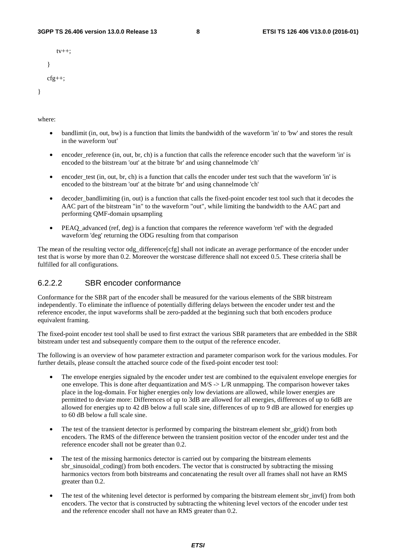```
t_{V++} } 
cfg++;
```
where:

}

- bandlimit (in, out, bw) is a function that limits the bandwidth of the waveform 'in' to 'bw' and stores the result in the waveform 'out'
- encoder reference (in, out, br, ch) is a function that calls the reference encoder such that the waveform 'in' is encoded to the bitstream 'out' at the bitrate 'br' and using channelmode 'ch'
- encoder\_test (in, out, br, ch) is a function that calls the encoder under test such that the waveform 'in' is encoded to the bitstream 'out' at the bitrate 'br' and using channelmode 'ch'
- decoder bandlimiting (in, out) is a function that calls the fixed-point encoder test tool such that it decodes the AAC part of the bitstream "in" to the waveform "out", while limiting the bandwidth to the AAC part and performing QMF-domain upsampling
- PEAO advanced (ref, deg) is a function that compares the reference waveform 'ref' with the degraded waveform 'deg' returning the ODG resulting from that comparison

The mean of the resulting vector odg\_difference[cfg] shall not indicate an average performance of the encoder under test that is worse by more than 0.2. Moreover the worstcase difference shall not exceed 0.5. These criteria shall be fulfilled for all configurations.

#### 6.2.2.2 SBR encoder conformance

Conformance for the SBR part of the encoder shall be measured for the various elements of the SBR bitstream independently. To eliminate the influence of potentially differing delays between the encoder under test and the reference encoder, the input waveforms shall be zero-padded at the beginning such that both encoders produce equivalent framing.

The fixed-point encoder test tool shall be used to first extract the various SBR parameters that are embedded in the SBR bitstream under test and subsequently compare them to the output of the reference encoder.

The following is an overview of how parameter extraction and parameter comparison work for the various modules. For further details, please consult the attached source code of the fixed-point encoder test tool:

- The envelope energies signaled by the encoder under test are combined to the equivalent envelope energies for one envelope. This is done after dequantization and  $M/S \rightarrow L/R$  unmapping. The comparison however takes place in the log-domain. For higher energies only low deviations are allowed, while lower energies are permitted to deviate more: Differences of up to 3dB are allowed for all energies, differences of up to 6dB are allowed for energies up to 42 dB below a full scale sine, differences of up to 9 dB are allowed for energies up to 60 dB below a full scale sine.
- The test of the transient detector is performed by comparing the bitstream element sbr\_grid() from both encoders. The RMS of the difference between the transient position vector of the encoder under test and the reference encoder shall not be greater than 0.2.
- The test of the missing harmonics detector is carried out by comparing the bitstream elements sbr\_sinusoidal\_coding() from both encoders. The vector that is constructed by subtracting the missing harmonics vectors from both bitstreams and concatenating the result over all frames shall not have an RMS greater than 0.2.
- The test of the whitening level detector is performed by comparing the bitstream element sbr\_invf() from both encoders. The vector that is constructed by subtracting the whitening level vectors of the encoder under test and the reference encoder shall not have an RMS greater than 0.2.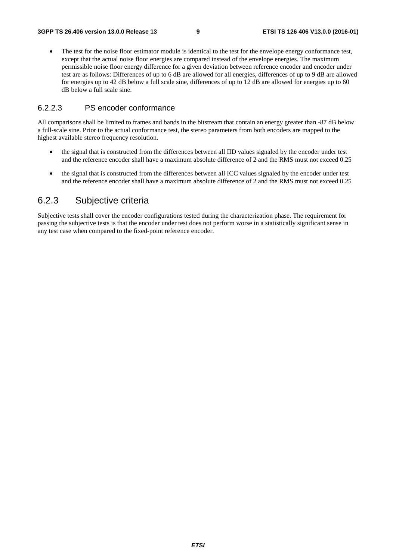• The test for the noise floor estimator module is identical to the test for the envelope energy conformance test, except that the actual noise floor energies are compared instead of the envelope energies. The maximum permissible noise floor energy difference for a given deviation between reference encoder and encoder under test are as follows: Differences of up to 6 dB are allowed for all energies, differences of up to 9 dB are allowed for energies up to 42 dB below a full scale sine, differences of up to 12 dB are allowed for energies up to 60 dB below a full scale sine.

### 6.2.2.3 PS encoder conformance

All comparisons shall be limited to frames and bands in the bitstream that contain an energy greater than -87 dB below a full-scale sine. Prior to the actual conformance test, the stereo parameters from both encoders are mapped to the highest available stereo frequency resolution.

- the signal that is constructed from the differences between all IID values signaled by the encoder under test and the reference encoder shall have a maximum absolute difference of 2 and the RMS must not exceed 0.25
- the signal that is constructed from the differences between all ICC values signaled by the encoder under test and the reference encoder shall have a maximum absolute difference of 2 and the RMS must not exceed 0.25

### 6.2.3 Subjective criteria

Subjective tests shall cover the encoder configurations tested during the characterization phase. The requirement for passing the subjective tests is that the encoder under test does not perform worse in a statistically significant sense in any test case when compared to the fixed-point reference encoder.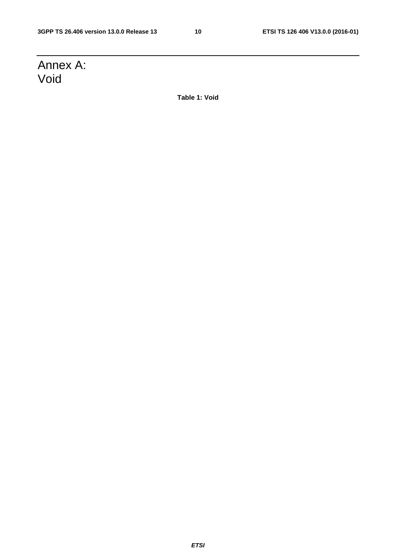# Annex A: Void

**Table 1: Void**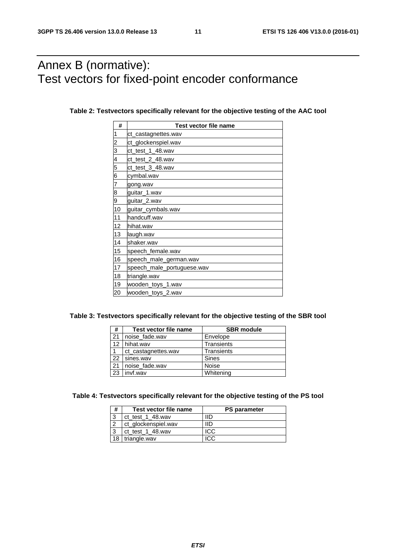# Annex B (normative): Test vectors for fixed-point encoder conformance

| #                       | <b>Test vector file name</b> |  |  |  |  |  |
|-------------------------|------------------------------|--|--|--|--|--|
| 1                       | ct_castagnettes.wav          |  |  |  |  |  |
| $\overline{\mathbf{c}}$ | ct_glockenspiel.wav          |  |  |  |  |  |
| 3                       | ct test 1 48.wav             |  |  |  |  |  |
| 4                       | ct_test_2_48.wav             |  |  |  |  |  |
| 5                       | ct_test_3_48.wav             |  |  |  |  |  |
| 6                       | cymbal.wav                   |  |  |  |  |  |
| 7                       | gong.wav                     |  |  |  |  |  |
| 8                       | guitar_1.wav                 |  |  |  |  |  |
| 9                       | quitar_2.wav                 |  |  |  |  |  |
| 10                      | guitar_cymbals.wav           |  |  |  |  |  |
| 11                      | handcuff.wav                 |  |  |  |  |  |
| 12                      | hihat.wav                    |  |  |  |  |  |
| 13                      | laugh.wav                    |  |  |  |  |  |
| 14                      | shaker.wav                   |  |  |  |  |  |
| 15                      | speech_female.wav            |  |  |  |  |  |
| 16                      | speech_male_german.wav       |  |  |  |  |  |
| 17                      | speech_male_portuguese.wav   |  |  |  |  |  |
| 18                      | triangle.wav                 |  |  |  |  |  |
| 19                      | wooden_toys_1.wav            |  |  |  |  |  |
| 20                      | wooden_toys_2.wav            |  |  |  |  |  |

#### **Table 2: Testvectors specifically relevant for the objective testing of the AAC tool**

| #               | Test vector file name | <b>SBR</b> module |
|-----------------|-----------------------|-------------------|
| $\overline{21}$ | noise fade.wav        | Envelope          |
| 12              | hihat.wav             | Transients        |
|                 | ct_castagnettes.wav   | Transients        |
| 22              | sines.wav             | Sines             |
| 21              | noise fade.wav        | <b>Noise</b>      |
| $\overline{23}$ | invf.wav              | Whitening         |

#### **Table 4: Testvectors specifically relevant for the objective testing of the PS tool**

| #      | Test vector file name | <b>PS parameter</b> |
|--------|-----------------------|---------------------|
| ◠<br>w | ct test 1 48. way     | חוו                 |
|        | ct_glockenspiel.wav   | IID                 |
| ◠      | ct test $1$ 48. way   | ICC.                |
| 18     | triangle.wav          |                     |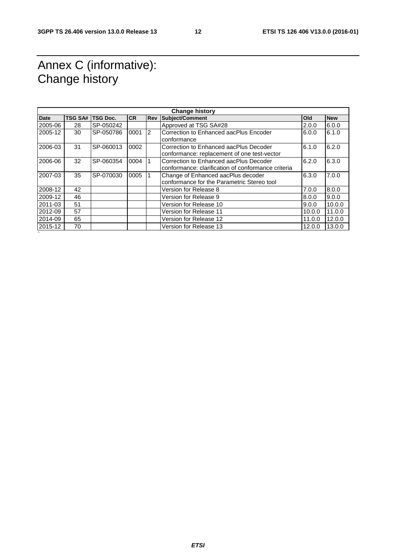# Annex C (informative): Change history

`

| <b>Change history</b> |                |                 |           |            |                                                                                              |        |            |
|-----------------------|----------------|-----------------|-----------|------------|----------------------------------------------------------------------------------------------|--------|------------|
| <b>Date</b>           | <b>TSG SA#</b> | <b>TSG Doc.</b> | <b>CR</b> | <b>Rev</b> | <b>Subject/Comment</b>                                                                       | Old    | <b>New</b> |
| 2005-06               | 28             | SP-050242       |           |            | Approved at TSG SA#28                                                                        | 2.0.0  | 6.0.0      |
| 2005-12               | 30             | SP-050786       | 0001      | 2          | Correction to Enhanced aacPlus Encoder<br>conformance                                        | 6.0.0  | 6.1.0      |
| 2006-03               | 31             | SP-060013       | 0002      |            | Correction to Enhanced aacPlus Decoder<br>conformance: replacement of one test-vector        | 6.1.0  | 6.2.0      |
| 2006-06               | 32             | SP-060354       | 0004      |            | Correction to Enhanced aacPlus Decoder<br>conformance: clarification of conformance criteria | 6.2.0  | 6.3.0      |
| 2007-03               | 35             | SP-070030       | 0005      |            | Change of Enhanced aacPlus decoder<br>conformance for the Parametric Stereo tool             | 6.3.0  | 7.0.0      |
| 2008-12               | 42             |                 |           |            | Version for Release 8                                                                        | 7.0.0  | 8.0.0      |
| 2009-12               | 46             |                 |           |            | Version for Release 9                                                                        | 8.0.0  | 9.0.0      |
| 2011-03               | 51             |                 |           |            | Version for Release 10                                                                       | 9.0.0  | 10.0.0     |
| 2012-09               | 57             |                 |           |            | Version for Release 11                                                                       | 10.0.0 | 11.0.0     |
| 2014-09               | 65             |                 |           |            | Version for Release 12                                                                       | 11.0.0 | 12.0.0     |
| 2015-12               | 70             |                 |           |            | Version for Release 13                                                                       | 12.0.0 | 13.0.0     |